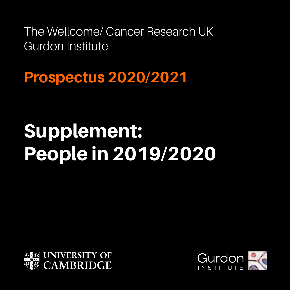The Wellcome/ Cancer Research UK Gurdon Institute

**Prospectus 2020/2021**

# Supplement: People in 2019/2020



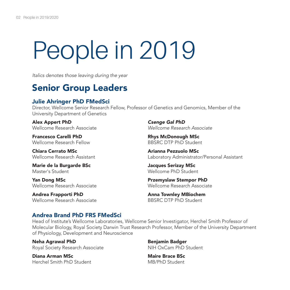# People in 2019

*Italics denotes those leaving during the year* 

# Senior Group Leaders

# Julie Ahringer PhD FMedSci

Director, Wellcome Senior Research Fellow, Professor of Genetics and Genomics, Member of the University Department of Genetics

Alex Appert PhD Wellcome Research Associate

Francesco Carelli PhD Wellcome Research Fellow

Chiara Cerrato MSc Wellcome Research Assistant

Marie de la Burgarde BSc Master's Student

Yan Dong MSc Wellcome Research Associate

Andrea Frapporti PhD Wellcome Research Associate *Csenge Gal PhD Wellcome Research Associate*

Rhys McDonough MSc BBSRC DTP PhD Student

Arianna Pezzuolo MSc Laboratory Administrator/Personal Assistant

Jacques Serizay MSc Wellcome PhD Student

Przemyslaw Stempor PhD Wellcome Research Associate

Anna Townley MBiochem BBSRC DTP PhD Student

# Andrea Brand PhD FRS FMedSci

Head of Institute's Wellcome Laboratories, Wellcome Senior Investigator, Herchel Smith Professor of Molecular Biology, Royal Society Darwin Trust Research Professor, Member of the University Department of Physiology, Development and Neuroscience

Neha Agrawal PhD Royal Society Research Associate

Diana Arman MSc Herchel Smith PhD Student Benjamin Badger NIH OxCam PhD Student

Maire Brace BSc MB/PhD Student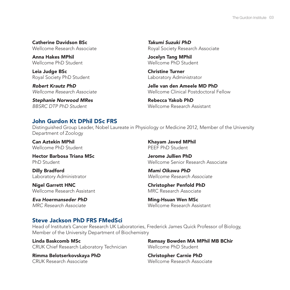Catherine Davidson BSc Wellcome Research Associate

Anna Hakes MPhil Wellcome PhD Student

Leia Judge BSc Royal Society PhD Student

*Robert Krautz PhD Wellcome Research Associate*

*Stephanie Norwood MRes BBSRC DTP PhD Student*

*Takumi Suzuki PhD*  Royal Society Research Associate

Jocelyn Tang MPhil Wellcome PhD Student

Christine Turner Laboratory Administrator

Jelle van den Ameele MD PhD Wellcome Clinical Postdoctoral Fellow

Rebecca Yakob PhD Wellcome Research Assistant

## John Gurdon Kt DPhil DSc FRS

Distinguished Group Leader, Nobel Laureate in Physiology or Medicine 2012, Member of the University Department of Zoology

Can Aztekin MPhil Wellcome PhD Student

Hector Barbosa Triana MSc PhD Student

Dilly Bradford Laboratory Administrator

Nigel Garrett HNC Wellcome Research Assistant

*Eva Hoermanseder PhD MRC Research Associate*

Khayam Javed MPhil PEEF PhD Student

Jerome Jullien PhD Wellcome Senior Research Associate

*Mami Oikawa PhD Wellcome Research Associate*

Christopher Penfold PhD MRC Research Associate

Ming-Hsuan Wen MSc Wellcome Research Assistant

## Steve Jackson PhD FRS FMedSci

Head of Institute's Cancer Research UK Laboratories, Frederick James Quick Professor of Biology, Member of the University Department of Biochemistry

Linda Baskcomb MSc CRUK Chief Research Laboratory Technician

Rimma Belotserkovskaya PhD CRUK Research Associate

Ramsay Bowden MA MPhil MB BChir Wellcome PhD Student

Christopher Carnie PhD Wellcome Research Associate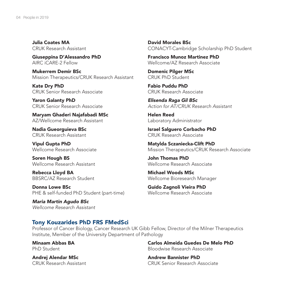Julia Coates MA CRUK Research Assistant

Giuseppina D'Alessandro PhD AIRC iCARE-2 Fellow

Mukerrem Demir BSc Mission Therapeutics/CRUK Research Assistant

Kate Dry PhD CRUK Senior Research Associate

Yaron Galanty PhD CRUK Senior Research Associate

Maryam Ghaderi Najafabadi MSc AZ/Wellcome Research Assistant

Nadia Gueorguieva BSc CRUK Research Assistant

Vipul Gupta PhD Wellcome Research Associate

Soren Hough BS Wellcome Research Assistant

Rebecca Lloyd BA BBSRC/AZ Research Student

Donna Lowe BSc PHE & self-funded PhD Student (part-time)

*Maria Martin Agudo BSc Wellcome Research Assistant* 

David Morales BSc CONACYT-Cambridge Scholarship PhD Student

Francisco Munoz Martinez PhD Wellcome/AZ Research Associate

Domenic Pilger MSc CRUK PhD Student

Fabio Puddu PhD CRUK Research Associate

*Elisenda Raga Gil BSc Action for AT/CRUK Research Assistant*

Helen Reed Laboratory Administrator

Israel Salguero Corbacho PhD CRUK Research Associate

Matylda Sczaniecka-Clift PhD Mission Therapeutics/CRUK Research Associate

John Thomas PhD Wellcome Research Associate

Michael Woods MSc Wellcome Bioresearch Manager

Guido Zagnoli Vieira PhD Wellcome Research Associate

#### Tony Kouzarides PhD FRS FMedSci

Professor of Cancer Biology, Cancer Research UK Gibb Fellow, Director of the Milner Therapeutics Institute, Member of the University Department of Pathology

Minaam Abbas BA PhD Student

Andrej Alendar MSc CRUK Research Assistant Carlos Almeida Guedes De Melo PhD Bloodwise Research Associate

Andrew Bannister PhD CRUK Senior Research Associate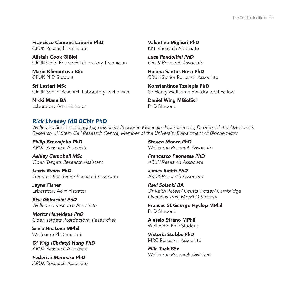Francisco Campos Laborie PhD CRUK Research Associate

Alistair Cook GIBiol CRUK Chief Research Laboratory Technician

Marie Klimontova BSc CRUK PhD Student

Sri Lestari MSc CRUK Senior Research Laboratory Technician

Nikki Mann BA Laboratory Administrator Valentina Migliori PhD KKL Research Associate

Luca Pandolfini PhD *CRUK Research Associate*

Helena Santos Rosa PhD CRUK Senior Research Associate

Konstantinos Tzelepis PhD Sir Henry Wellcome Postdoctoral Fellow

Daniel Wing MBiolSci PhD Student

## *Rick Livesey MB BChir PhD*

*Wellcome Senior Investigator, University Reader in Molecular Neuroscience, Director of the Alzheimer's Research UK Stem Cell Research Centre, Member of the University Department of Biochemistry*

*Philip Brownjohn PhD ARUK Research Associate* 

*Ashley Campbell MSc Open Targets Research Assistant*

*Lewis Evans PhD Genome Res Senior Research Associate* 

Jayne Fisher Laboratory Administrator

*Elsa Ghirardini PhD Wellcome Research Associate* 

*Moritz Haneklaus PhD Open Targets Postdoctoral Researcher*

Silvia Hnatova MPhil Wellcome PhD Student

*Oi Ying (Christy) Hung PhD ARUK Research Associate* 

*Federica Marinaro PhD ARUK Research Associate*  *Steven Moore PhD Wellcome Research Associate* 

*Francesco Paonessa PhD ARUK Research Associate* 

*James Smith PhD ARUK Research Associate* 

*Ravi Solanki BA Sir Keith Peters/ Coutts Trotter/ Cambridge Overseas Trust MB/PhD Student*

Frances St George-Hyslop MPhil PhD Student

Alessio Strano MPhil Wellcome PhD Student

Victoria Stubbs PhD MRC Research Associate

*Ellie Tuck BSc Wellcome Research Assistant*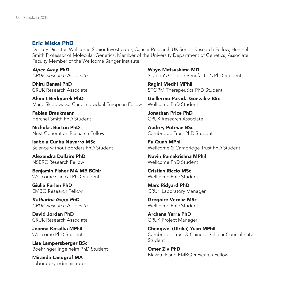#### Eric Miska PhD

Deputy Director, Wellcome Senior Investigator, Cancer Research UK Senior Research Fellow, Herchel Smith Professor of Molecular Genetics, Member of the University Department of Genetics, Associate Faculty Member of the Wellcome Sanger Institute

*Alper Akay PhD CRUK Research Associate*

Dhiru Bansal PhD CRUK Research Associate

Ahmet Berkyurek PhD Marie Sklodowska-Curie Individual European Fellow

Fabian Braukmann Herchel Smith PhD Student

Nicholas Burton PhD Next Generation Research Fellow

Isabela Cunha Navarro MSc Science without Borders PhD Student

Alexandra Dallaire PhD NSERC Research Fellow

Benjamin Fisher MA MB BChir Wellcome Clinical PhD Student

Giulia Furlan PhD EMBO Research Fellow

*Katharina Gapp PhD CRUK Research Associate*

David Jordan PhD CRUK Research Associate

Joanna Kosalka MPhil Wellcome PhD Student

Lisa Lampersberger BSc Boehringer Ingelheim PhD Student

Miranda Landgraf MA Laboratory Administrator Wayo Matsushima MD St John's College Benefactor's PhD Student

Ragini Medhi MPhil STORM Therapeutics PhD Student

Guillermo Parada Gonzalez BSc Wellcome PhD Student

Jonathan Price PhD CRUK Research Associate

Audrey Putman BSc Cambridge Trust PhD Student

Fu Quah MPhil Wellcome & Cambridge Trust PhD Student

Navin Ramakrishna MPhil Wellcome PhD Student

Cristian Riccio MSc Wellcome PhD Student

Marc Ridyard PhD CRUK Laboratory Manager

Gregoire Vernaz MSc Wellcome PhD Student

Archana Yerra PhD CRUK Project Manager

Chengwei (Ulrika) Yuan MPhil Cambridge Trust & Chinese Scholar Council PhD Student

Omer Ziv PhD Blavatnik and EMBO Research Fellow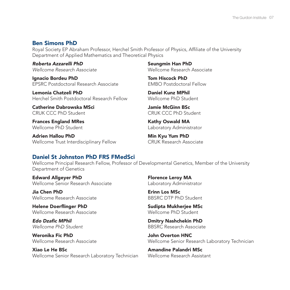#### Ben Simons PhD

Royal Society EP Abraham Professor, Herchel Smith Professor of Physics, Affiliate of the University Department of Applied Mathematics and Theoretical Physics

*Roberta Azzarelli PhD Wellcome Research Associate* 

Ignacio Bordeu PhD EPSRC Postdoctoral Research Associate

Lemonia Chatzeli PhD Herchel Smith Postdoctoral Research Fellow

Catherine Dabrowska MSci CRUK CCC PhD Student

Frances England MRes Wellcome PhD Student

Adrien Hallou PhD Wellcome Trust Interdisciplinary Fellow

Seungmin Han PhD Wellcome Research Associate

Tom Hiscock PhD EMBO Postdoctoral Fellow

Daniel Kunz MPhil Wellcome PhD Student

Jamie McGinn BSc CRUK CCC PhD Student

Kathy Oswald MA Laboratory Administrator

Min Kyu Yum PhD CRUK Research Associate

# Daniel St Johnston PhD FRS FMedSci

Wellcome Principal Research Fellow, Professor of Developmental Genetics, Member of the University Department of Genetics

Edward Allgeyer PhD Wellcome Senior Research Associate

Jia Chen PhD Wellcome Research Associate

Helene Doerflinger PhD Wellcome Research Associate

Edo Dzafic MPhil *Wellcome PhD Student*

Weronika Fic PhD Wellcome Research Associate

Xiao Le He BSc Wellcome Senior Research Laboratory Technician Florence Leroy MA Laboratory Administrator

Erinn Los MSc BBSRC DTP PhD Student

Sudipta Mukherjee MSc Wellcome PhD Student

Dmitry Nashchekin PhD BBSRC Research Associate

John Overton HNC Wellcome Senior Research Laboratory Technician

Amandine Palandri MSc Wellcome Research Assistant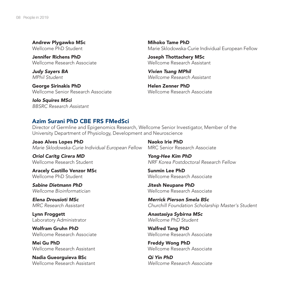Andrew Plygawko MSc Wellcome PhD Student

Jennifer Richens PhD Wellcome Research Associate

*Judy Sayers BA MPhil Student*

George Sirinakis PhD Wellcome Senior Research Associate

*Iolo Squires MSci BBSRC Research Assistant* 

Mihoko Tame PhD Marie Sklodowska-Curie Individual European Fellow

Joseph Thottachery MSc Wellcome Research Assistant

*Vivien Tsang MPhil Wellcome Research Assistant*

Helen Zenner PhD Wellcome Research Associate

#### Azim Surani PhD CBE FRS FMedSci

Director of Germline and Epigenomics Research, Wellcome Senior Investigator, Member of the University Department of Physiology, Development and Neuroscience

Joao Alves Lopes PhD *Marie Sklodowska-Curie Individual European Fellow*

*Oriol Caritg Cirera MD* Wellcome Research Student

Aracely Castillo Venzor MSc Wellcome PhD Student

*Sabine Dietmann PhD Wellcome Bioinformatician*

*Elena Drousioti MSc MRC Research Assistant*

Lynn Froggett Laboratory Administrator

Wolfram Gruhn PhD Wellcome Research Associate

Mei Gu PhD Wellcome Research Assistant

Nadia Gueorguieva BSc Wellcome Research Assistant

Naoko Irie PhD MRC Senior Research Associate

*Yong-Hee Kim PhD NRF Korea Postdoctoral Research Fellow*

Sunmin Lee PhD Wellcome Research Associate

Jitesh Neupane PhD Wellcome Research Associate

*Merrick Pierson Smela BSc Churchill Foundation Scholarship Master's Student*

*Anastasiya Sybirna MSc Wellcome PhD Student* 

Walfred Tang PhD Wellcome Research Associate

Freddy Wong PhD Wellcome Research Associate

*Qi Yin PhD Wellcome Research Associate*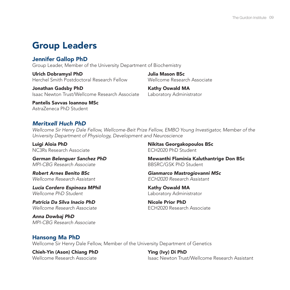# Group Leaders

# Jennifer Gallop PhD

Group Leader, Member of the University Department of Biochemistry

Ulrich Dobramysl PhD Herchel Smith Postdoctoral Research Fellow

Jonathan Gadsby PhD Isaac Newton Trust/Wellcome Research Associate

Pantelis Savvas Ioannou MSc AstraZeneca PhD Student

# *Meritxell Huch PhD*

*Wellcome Sir Henry Dale Fellow, Wellcome-Beit Prize Fellow, EMBO Young Investigator, Member of the University Department of Physiology, Development and Neuroscience*

Luigi Aloia PhD NC3Rs Research Associate

*German Belenguer Sanchez PhD MPI-CBG Research Associate*

*Robert Arnes Benito BSc Wellcome Research Assistant* 

*Lucia Cordero Espinoza MPhil Wellcome PhD Student* 

*Patricia Da Silva Inacio PhD Wellcome Research Associate* 

*Anna Dowbaj PhD MPI-CBG Research Associate* Nikitas Georgakopoulos BSc ECH2020 PhD Student

Wellcome Research Associate

Julia Mason BSc

Kathy Oswald MA Laboratory Administrator

Mewanthi Flaminia Kaluthantrige Don BSc BBSRC/GSK PhD Student

*Gianmarco Mastrogiovanni MSc ECH2020 Research Assistant*

Kathy Oswald MA Laboratory Administrator

Nicole Prior PhD ECH2020 Research Associate

#### Hansong Ma PhD

Wellcome Sir Henry Dale Fellow, Member of the University Department of Genetics

Chieh-Yin (Ason) Chiang PhD Wellcome Research Associate

Ying (Ivy) Di PhD Isaac Newton Trust/Wellcome Research Assistant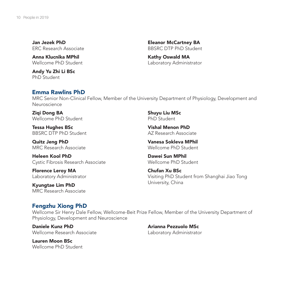Jan Jezek PhD ERC Research Associate

Anna Klucnika MPhil Wellcome PhD Student

Andy Yu Zhi Li BSc PhD Student

Eleanor McCartney BA BBSRC DTP PhD Student

Kathy Oswald MA Laboratory Administrator

#### Emma Rawlins PhD

MRC Senior Non-Clinical Fellow, Member of the University Department of Physiology, Development and Neuroscience

Ziai Dona BA Wellcome PhD Student

Tessa Hughes BSc BBSRC DTP PhD Student

Quitz Jeng PhD MRC Research Associate

Heleen Kool PhD Cystic Fibrosis Research Associate

Florence Leroy MA Laboratory Administrator

Kyungtae Lim PhD MRC Research Associate Shuyu Liu MSc PhD Student

Vishal Menon PhD AZ Research Associate

Vanesa Sokleva MPhil Wellcome PhD Student

Dawei Sun MPhil Wellcome PhD Student

Arianna Pezzuolo MSc

Chufan Xu BSc Visiting PhD Student from Shanghai Jiao Tong University, China

## Fengzhu Xiong PhD

Wellcome Sir Henry Dale Fellow, Wellcome-Beit Prize Fellow, Member of the University Department of Physiology, Development and Neuroscience

Daniele Kunz PhD Wellcome Research Associate

Laboratory Administrator

Lauren Moon BSc Wellcome PhD Student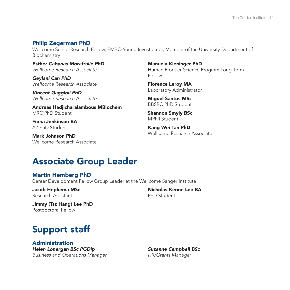### Philip Zegerman PhD

Wellcome Senior Research Fellow, EMBO Young Investigator, Member of the University Department of Biochemistry

*Esther Cabanas Morafraile PhD Wellcome Research Associate*

*Geylani Can PhD Wellcome Research Associate* 

*Vincent Gaggioli PhD Wellcome Research Associate* 

Andreas Hadjicharalambous MBiochem MRC PhD Student

Fiona Jenkinson BA AZ PhD Student

Mark Johnson PhD Wellcome Research Associate

Manuela Kieninger PhD Human Frontier Science Program Long-Term Fellow

Florence Leroy MA Laboratory Administrator

Miguel Santos MSc BBSRC PhD Student

Shannon Smyly BSc MPhil Student

Kang Wei Tan PhD Wellcome Research Associate

# Associate Group Leader

## Martin Hemberg PhD

Career Development Fellow Group Leader at the Wellcome Sanger Institute

Jacob Hepkema MSc Research Assistant

Nicholas Keone Lee BA PhD Student

Jimmy (Tsz Hang) Lee PhD Postdoctoral Fellow

# Support staff

Administration *Helen Lonergan BSc PGDip Business and Operations Manager*

*Suzanne Campbell BSc HR/Grants Manager*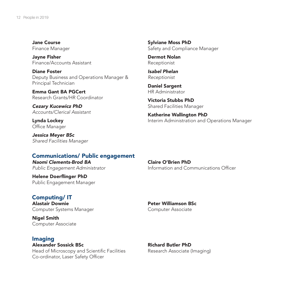Jane Course Finance Manager

Jayne Fisher Finance/Accounts Assistant

Diane Foster Deputy Business and Operations Manager & Principal Technician

Emma Gant BA PGCert Research Grants/HR Coordinator

*Cezary Kucewicz PhD Accounts/Clerical Assistant*

Lynda Lockey Office Manager

*Jessica Meyer BSc Shared Facilities Manager*

#### Communications/ Public engagement

*Naomi Clements-Brod BA Public Engagement Administrator*

Helene Doerflinger PhD Public Engagement Manager

#### Computing/ IT

Alastair Downie Computer Systems Manager

Nigel Smith Computer Associate

#### Imaging

Alexander Sossick BSc Head of Microscopy and Scientific Facilities Co-ordinator, Laser Safety Officer

Sylviane Moss PhD Safety and Compliance Manager

Dermot Nolan Receptionist

*Isabel Phelan Receptionist*

Daniel Sargent HR Administrator

Victoria Stubbs PhD Shared Facilities Manager

Katherine Wallington PhD Interim Administration and Operations Manager

Claire O'Brien PhD Information and Communications Officer

Peter Williamson BSc Computer Associate

Richard Butler PhD Research Associate (Imaging)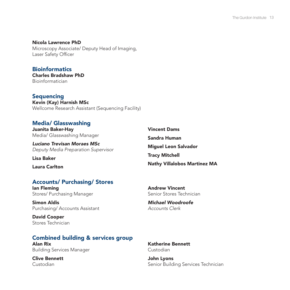Nicola Lawrence PhD Microscopy Associate/ Deputy Head of Imaging, Laser Safety Officer

**Bioinformatics** Charles Bradshaw PhD Bioinformatician

Sequencing Kevin (Kay) Harnish MSc Wellcome Research Assistant (Sequencing Facility)

# Media/ Glasswashing

Juanita Baker-Hay Media/ Glasswashing Manager

*Luciano Trevisan Moraes MSc Deputy Media Preparation Supervisor*

Lisa Baker

Laura Carlton

## Accounts/ Purchasing/ Stores

Ian Fleming Stores/ Purchasing Manager

Simon Aldis Purchasing/ Accounts Assistant

David Cooper Stores Technician

# Combined building & services group

Alan Rix Building Services Manager

Clive Bennett Custodian

Vincent Dams Sandra Human Miguel Leon Salvador Tracy Mitchell Nathy Villalobos Martinez MA

Andrew Vincent Senior Stores Technician

*Michael Woodroofe Accounts Clerk*

Katherine Bennett Custodian

John Lyons Senior Building Services Technician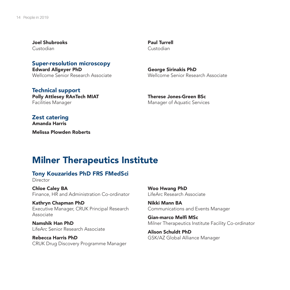Joel Shubrooks Custodian

Super-resolution microscopy Edward Allgeyer PhD Wellcome Senior Research Associate

Technical support Polly Attlesey RAnTech MIAT Facilities Manager

Paul Turrell Custodian

George Sirinakis PhD Wellcome Senior Research Associate

Therese Jones-Green BSc Manager of Aquatic Services

Zest catering Amanda Harris Melissa Plowden Roberts

# Milner Therapeutics Institute

#### Tony Kouzarides PhD FRS FMedSci

Director

Chloe Caley BA Finance, HR and Administration Co-ordinator

Kathryn Chapman PhD Executive Manager, CRUK Principal Research Associate

Namshik Han PhD LifeArc Senior Research Associate

Rebecca Harris PhD CRUK Drug Discovery Programme Manager Woo Hwang PhD LifeArc Research Associate

Nikki Mann BA Communications and Events Manager

Gian-marco Melfi MSc Milner Therapeutics Institute Facility Co-ordinator

Alison Schuldt PhD GSK/AZ Global Alliance Manager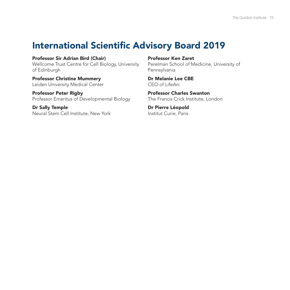# International Scientific Advisory Board 2019

Professor Sir Adrian Bird (Chair) Wellcome Trust Centre for Cell Biology, University of Edinburgh

Professor Christine Mummery Leiden University Medical Center

Professor Peter Rigby Professor Emeritus of Developmental Biology

Dr Sally Temple Neural Stem Cell Institute, New York Professor Ken Zaret

Perelman School of Medicine, University of Pennsylvania

Dr Melanie Lee CBE CEO of LifeArc

Professor Charles Swanton The Francis Crick Institute, London

Dr Pierre Léopold Institut Curie, Paris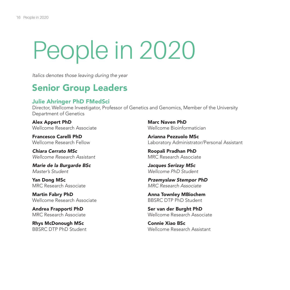# People in 2020

*Italics denotes those leaving during the year*

# Senior Group Leaders

## Julie Ahringer PhD FMedSci

Director, Wellcome Investigator, Professor of Genetics and Genomics, Member of the University Department of Genetics

Alex Appert PhD Wellcome Research Associate

Francesco Carelli PhD Wellcome Research Fellow

*Chiara Cerrato MSc Wellcome Research Assistant*

*Marie de la Burgarde BSc Master's Student*

Yan Dong MSc MRC Research Associate

Martin Fabry PhD Wellcome Research Associate

Andrea Frapporti PhD MRC Research Associate

Rhys McDonough MSc BBSRC DTP PhD Student

Marc Naven PhD Wellcome Bioinformatician

Arianna Pezzuolo MSc Laboratory Administrator/Personal Assistant

Roopali Pradhan PhD MRC Research Associate

*Jacques Serizay MSc Wellcome PhD Student*

*Przemyslaw Stempor PhD MRC Research Associate*

Anna Townley MBiochem BBSRC DTP PhD Student

Ser van der Burght PhD Wellcome Research Associate

Connie Xiao BSc Wellcome Research Assistant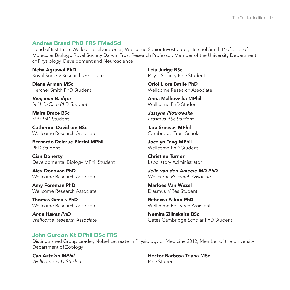# Andrea Brand PhD FRS FMedSci

Head of Institute's Wellcome Laboratories, Wellcome Senior Investigator, Herchel Smith Professor of Molecular Biology, Royal Society Darwin Trust Research Professor, Member of the University Department of Physiology, Development and Neuroscience

Neha Agrawal PhD Royal Society Research Associate

Diana Arman MSc Herchel Smith PhD Student

*Benjamin Badger NIH OxCam PhD Student*

Maire Brace BSc MB/PhD Student

Catherine Davidson BSc Wellcome Research Associate

Bernardo Delarue Bizzini MPhil PhD Student

Cian Doherty Developmental Biology MPhil Student

Alex Donovan PhD Wellcome Research Associate

Amy Foreman PhD Wellcome Research Associate

Thomas Genais PhD Wellcome Research Associate

*Anna Hakes PhD Wellcome Research Associate*

Leia Judge BSc Royal Society PhD Student

Oriol Llora Batlle PhD Wellcome Research Associate

Anna Malkowska MPhil Wellcome PhD Student

*Justyna Piotrowska Erasmus BSc Student*

Tara Srinivas MPhil Cambridge Trust Scholar

Jocelyn Tang MPhil Wellcome PhD Student

Christine Turner Laboratory Administrator

*Jelle van den Ameele MD PhD Wellcome Research Associate*

Marloes Van Wezel Erasmus MRes Student

Rebecca Yakob PhD Wellcome Research Assistant

Nemira Zilinskaite BSc Gates Cambridge Scholar PhD Student

# John Gurdon Kt DPhil DSc FRS

Distinguished Group Leader, Nobel Laureate in Physiology or Medicine 2012, Member of the University Department of Zoology

*Can Aztekin MPhil Wellcome PhD Student* Hector Barbosa Triana MSc PhD Student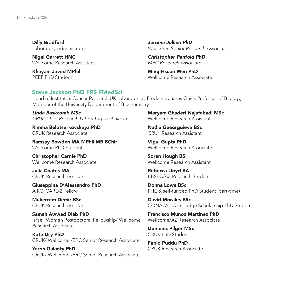Dilly Bradford Laboratory Administrator

Nigel Garrett HNC Wellcome Research Assistant

Khayam Javed MPhil PEEF PhD Student

*Jerome Jullien PhD Wellcome Senior Research Associate*

*Christopher Penfold PhD MRC Research Associate*

Ming-Hsuan Wen PhD Wellcome Research Associate

#### Steve Jackson PhD FRS FMedSci

Head of Institute's Cancer Research UK Laboratories, Frederick James Quick Professor of Biology, Member of the University Department of Biochemistry

*Linda Baskcomb MSc CRUK Chief Research Laboratory Technician* 

Rimma Belotserkovskaya PhD CRUK Research Associate

Ramsay Bowden MA MPhil MB BChir Wellcome PhD Student

Christopher Carnie PhD Wellcome Research Associate

Julia Coates MA CRUK Research Assistant

Giuseppina D'Alessandro PhD AIRC iCARE-2 Fellow

Mukerrem Demir BSc CRUK Research Assistant

Samah Awwad Diab PhD Israeli Women Postdoctoral Fellowship/ Wellcome Research Associate

Kate Dry PhD CRUK/ Wellcome /ERC Senior Research Associate

Yaron Galanty PhD CRUK/ Wellcome /ERC Senior Research Associate

Maryam Ghaderi Najafabadi MSc Wellcome Research Assistant

Nadia Gueorguieva BSc CRUK Research Assistant

Vipul Gupta PhD Wellcome Research Associate

Soren Hough BS Wellcome Research Assistant

Rebecca Lloyd BA BBSRC/AZ Research Student

Donna Lowe BSc PHE & self-funded PhD Student (part-time)

David Morales BSc CONACYT-Cambridge Scholarship PhD Student

Francisco Munoz Martinez PhD Wellcome/AZ Research Associate

Domenic Pilger MSc CRUK PhD Student

Fabio Puddu PhD CRUK Research Associate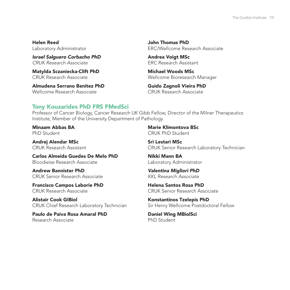Helen Reed Laboratory Administrator

*Israel Salguero Corbacho PhD CRUK Research Associate*

Matylda Sczaniecka-Clift PhD CRUK Research Associate

Almudena Serrano Benitez PhD Wellcome Research Associate

John Thomas PhD ERC/Wellcome Research Associate

Andrea Voigt MSc ERC Research Assistant

Michael Woods MSc Wellcome Bioresearch Manager

Guido Zagnoli Vieira PhD CRUK Research Associate

# Tony Kouzarides PhD FRS FMedSci

Professor of Cancer Biology, Cancer Research UK Gibb Fellow, Director of the Milner Therapeutics Institute, Member of the University Department of Pathology

Minaam Abbas BA PhD Student

Andrej Alendar MSc CRUK Research Assistant

Carlos Almeida Guedes De Melo PhD Bloodwise Research Associate

Andrew Bannister PhD CRUK Senior Research Associate

Francisco Campos Laborie PhD CRUK Research Associate

Alistair Cook GIBiol CRUK Chief Research Laboratory Technician

Paulo de Paiva Rosa Amaral PhD Research Associate

Marie Klimontova BSc CRUK PhD Student

Sri Lestari MSc CRUK Senior Research Laboratory Technician

Nikki Mann BA Laboratory Administrator

*Valentina Migliori PhD KKL Research Associate*

Helena Santos Rosa PhD CRUK Senior Research Associate

Konstantinos Tzelepis PhD Sir Henry Wellcome Postdoctoral Fellow

Daniel Wing MBiolSci PhD Student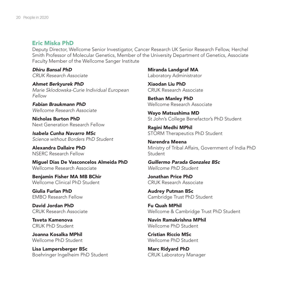#### Eric Miska PhD

Deputy Director, Wellcome Senior Investigator, Cancer Research UK Senior Research Fellow, Herchel Smith Professor of Molecular Genetics, Member of the University Department of Genetics, Associate Faculty Member of the Wellcome Sanger Institute

*Dhiru Bansal PhD CRUK Research Associate*

*Ahmet Berkyurek PhD Marie Sklodowska-Curie Individual European Fellow*

*Fabian Braukmann PhD Wellcome Research Associate*

Nicholas Burton PhD Next Generation Research Fellow

*Isabela Cunha Navarro MSc Science without Borders PhD Student*

Alexandra Dallaire PhD NSERC Research Fellow

Miguel Dias De Vasconcelos Almeida PhD Wellcome Research Associate

Benjamin Fisher MA MB BChir Wellcome Clinical PhD Student

Giulia Furlan PhD EMBO Research Fellow

David Jordan PhD CRUK Research Associate

Tsveta Kamenova CRUK PhD Student

Joanna Kosalka MPhil Wellcome PhD Student

Lisa Lampersberger BSc Boehringer Ingelheim PhD Student

Miranda Landgraf MA Laboratory Administrator

Xiaodan Liu PhD CRUK Research Associate

Bethan Manley PhD Wellcome Research Associate

Wayo Matsushima MD St John's College Benefactor's PhD Student

Ragini Medhi MPhil STORM Therapeutics PhD Student

Narendra Meena Ministry of Tribal Affairs, Government of India PhD Student

*Guillermo Parada Gonzalez BSc Wellcome PhD Student*

Jonathan Price PhD CRUK Research Associate

Audrey Putman BSc Cambridge Trust PhD Student

Fu Quah MPhil Wellcome & Cambridge Trust PhD Student

Navin Ramakrishna MPhil Wellcome PhD Student

Cristian Riccio MSc Wellcome PhD Student

Marc Ridyard PhD CRUK Laboratory Manager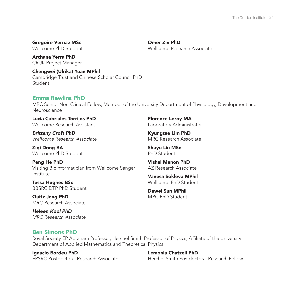# Gregoire Vernaz MSc

Wellcome PhD Student

Archana Yerra PhD CRUK Project Manager

Chengwei (Ulrika) Yuan MPhil Cambridge Trust and Chinese Scholar Council PhD Student

## Emma Rawlins PhD

MRC Senior Non-Clinical Fellow, Member of the University Department of Physiology, Development and Neuroscience

Lucia Cabriales Torrijos PhD Wellcome Research Assistant

*Brittany Croft PhD Wellcome Research Associate* 

Ziqi Dong BA Wellcome PhD Student

Peng He PhD Visiting Bioinformatician from Wellcome Sanger Institute

Tessa Hughes BSc BBSRC DTP PhD Student

Quitz Jeng PhD MRC Research Associate

*Heleen Kool PhD MRC Research Associate* Florence Leroy MA Laboratory Administrator

Kyungtae Lim PhD MRC Research Associate

Shuyu Liu MSc PhD Student

Omer Ziv PhD

Wellcome Research Associate

Vishal Menon PhD AZ Research Associate

Vanesa Sokleva MPhil Wellcome PhD Student

Dawei Sun MPhil MRC PhD Student

## Ben Simons PhD

Royal Society EP Abraham Professor, Herchel Smith Professor of Physics, Affiliate of the University Department of Applied Mathematics and Theoretical Physics

Ignacio Bordeu PhD EPSRC Postdoctoral Research Associate

Lemonia Chatzeli PhD Herchel Smith Postdoctoral Research Fellow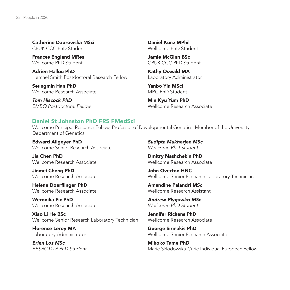Catherine Dabrowska MSci CRUK CCC PhD Student

Frances England MRes Wellcome PhD Student

Adrien Hallou PhD Herchel Smith Postdoctoral Research Fellow

Seungmin Han PhD Wellcome Research Associate

*Tom Hiscock PhD EMBO Postdoctoral Fellow*

Daniel Kunz MPhil Wellcome PhD Student

Jamie McGinn BSc CRUK CCC PhD Student

Kathy Oswald MA Laboratory Administrator

Yanbo Yin MSci MRC PhD Student

Min Kyu Yum PhD Wellcome Research Associate

## Daniel St Johnston PhD FRS FMedSci

Wellcome Principal Research Fellow, Professor of Developmental Genetics, Member of the University Department of Genetics

Edward Allgeyer PhD Wellcome Senior Research Associate

Jia Chen PhD Wellcome Research Associate

Jinmei Cheng PhD Wellcome Research Associate

Helene Doerflinger PhD Wellcome Research Associate

Weronika Fic PhD Wellcome Research Associate

Xiao Li He BSc Wellcome Senior Research Laboratory Technician

Florence Leroy MA Laboratory Administrator

*Erinn Los MSc BBSRC DTP PhD Student* *Sudipta Mukherjee MSc Wellcome PhD Student*

Dmitry Nashchekin PhD Wellcome Research Associate

John Overton HNC Wellcome Senior Research Laboratory Technician

Amandine Palandri MSc Wellcome Research Assistant

*Andrew Plygawko MSc Wellcome PhD Student*

Jennifer Richens PhD Wellcome Research Associate

George Sirinakis PhD Wellcome Senior Research Associate

Mihoko Tame PhD Marie Sklodowska-Curie Individual European Fellow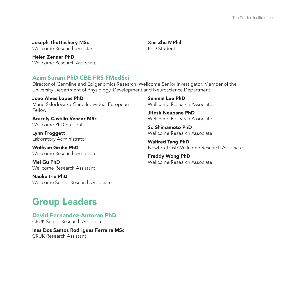#### Joseph Thottachery MSc Wellcome Research Assistant

Xixi Zhu MPhil PhD Student

Helen Zenner PhD Wellcome Research Associate

# Azim Surani PhD CBE FRS FMedSci

Director of Germline and Epigenomics Research, Wellcome Senior Investigator, Member of the University Department of Physiology, Development and Neuroscience Department

Joao Alves Lopes PhD Marie Sklodowska-Curie Individual European Fellow

Aracely Castillo Venzor MSc Wellcome PhD Student

Lynn Froggett Laboratory Administrator

Wolfram Gruhn PhD Wellcome Research Associate

Mei Gu PhD Wellcome Research Assistant

Naoko Irie PhD Wellcome Senior Research Associate

#### Sunmin Lee PhD Wellcome Research Associate

Jitesh Neupane PhD Wellcome Research Associate

So Shimamoto PhD Wellcome Research Associate

Walfred Tang PhD Newton Trust/Wellcome Research Associate

Freddy Wong PhD Wellcome Research Associate

# Group Leaders

David Fernandez-Antoran PhD CRUK Senior Research Associate

Ines Dos Santos Rodrigues Ferreira MSc CRUK Research Assistant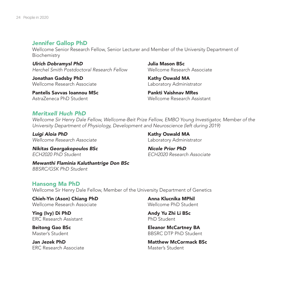### Jennifer Gallop PhD

Wellcome Senior Research Fellow, Senior Lecturer and Member of the University Department of Biochemistry

*Ulrich Dobramysl PhD Herchel Smith Postdoctoral Research Fellow*

Jonathan Gadsby PhD Wellcome Research Associate

Pantelis Savvas Ioannou MSc AstraZeneca PhD Student

Julia Mason BSc Wellcome Research Associate

Kathy Oswald MA Laboratory Administrator

Pankti Vaishnav MRes Wellcome Research Assistant

# *Meritxell Huch PhD*

*Wellcome Sir Henry Dale Fellow, Wellcome-Beit Prize Fellow, EMBO Young Investigator, Member of the University Department of Physiology, Development and Neuroscience (left during 2019)* 

*Luigi Aloia PhD Wellcome Research Associate* Kathy Oswald MA Laboratory Administrator

*Nikitas Georgakopoulos BSc ECH2020 PhD Student*

*Nicole Prior PhD ECH2020 Research Associate*

*Mewanthi Flaminia Kaluthantrige Don BSc BBSRC/GSK PhD Student*

#### Hansong Ma PhD

Wellcome Sir Henry Dale Fellow, Member of the University Department of Genetics

Chieh-Yin (Ason) Chiang PhD Wellcome Research Associate

Ying (Ivy) Di PhD ERC Research Assistant

Beitong Gao BSc Master's Student

Jan Jezek PhD ERC Research Associate Anna Klucnika MPhil Wellcome PhD Student

Andy Yu Zhi Li BSc PhD Student

Eleanor McCartney BA BBSRC DTP PhD Student

Matthew McCormack BSc Master's Student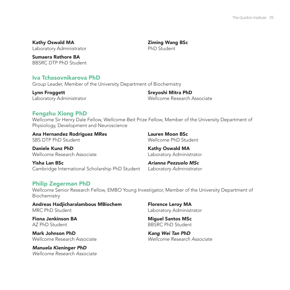Kathy Oswald MA Laboratory Administrator

Sumaera Rathore BA BBSRC DTP PhD Student

#### Iva Tchasovnikarova PhD

Group Leader, Member of the University Department of Biochemistry

Lynn Froggett Laboratory Administrator

Sreyoshi Mitra PhD Wellcome Research Associate

Ziming Wang BSc PhD Student

#### Fengzhu Xiong PhD

Wellcome Sir Henry Dale Fellow, Wellcome-Beit Prize Fellow, Member of the University Department of Physiology, Development and Neuroscience

Ana Hernandez Rodriguez MRes SBS DTP PhD Student

Lauren Moon BSc Wellcome PhD Student

Daniele Kunz PhD Wellcome Research Associate Kathy Oswald MA Laboratory Administrator

Yisha Lan BSc Cambridge International Scholarship PhD Student

*Arianna Pezzuolo MSc Laboratory Administrator*

## Philip Zegerman PhD

Wellcome Senior Research Fellow, EMBO Young Investigator, Member of the University Department of Biochemistry

Andreas Hadjicharalambous MBiochem MRC PhD Student

Fiona Jenkinson BA AZ PhD Student

Mark Johnson PhD Wellcome Research Associate

*Manuela Kieninger PhD Wellcome Research Associate*  Florence Leroy MA Laboratory Administrator

Miguel Santos MSc BBSRC PhD Student

*Kang Wei Tan PhD Wellcome Research Associate*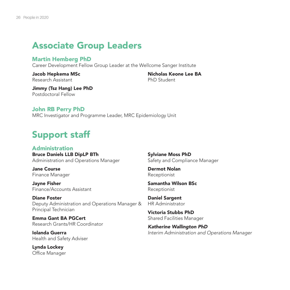# Associate Group Leaders

### Martin Hemberg PhD

Career Development Fellow Group Leader at the Wellcome Sanger Institute

#### Jacob Hepkema MSc Research Assistant

Nicholas Keone Lee BA PhD Student

Jimmy (Tsz Hang) Lee PhD Postdoctoral Fellow

## John RB Perry PhD

MRC Investigator and Programme Leader, MRC Epidemiology Unit

# Support staff

Administration Bruce Daniels LLB DipLP BTh Administration and Operations Manager

Jane Course Finance Manager

Jayne Fisher Finance/Accounts Assistant

Diane Foster Deputy Administration and Operations Manager & Principal Technician

Emma Gant BA PGCert Research Grants/HR Coordinator

Iolanda Guerra Health and Safety Adviser

Lynda Lockey Office Manager Sylviane Moss PhD Safety and Compliance Manager

Dermot Nolan Receptionist

Samantha Wilson BSc Receptionist

Daniel Sargent HR Administrator

Victoria Stubbs PhD Shared Facilities Manager

*Katherine Wallington PhD Interim Administration and Operations Manager*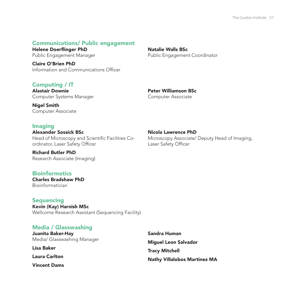#### Communications/ Public engagement

Helene Doerflinger PhD Public Engagement Manager

Claire O'Brien PhD Information and Communications Officer

Natalie Walls BSc Public Engagement Coordinator

## Computing / IT

Alastair Downie Computer Systems Manager Peter Williamson BSc Computer Associate

Nigel Smith Computer Associate

#### Imaging

Alexander Sossick BSc Head of Microscopy and Scientific Facilities Coordinator, Laser Safety Officer

#### Nicola Lawrence PhD

Microscopy Associate/ Deputy Head of Imaging, Laser Safety Officer

Richard Butler PhD Research Associate (Imaging)

# Bioinformatics Charles Bradshaw PhD

Bioinformatician

#### Sequencing

Kevin (Kay) Harnish MSc Wellcome Research Assistant (Sequencing Facility)

#### Media / Glasswashing

Juanita Baker-Hay Media/ Glasswashing Manager

Lisa Baker

Laura Carlton

Vincent Dams

Sandra Human Miguel Leon Salvador Tracy Mitchell Nathy Villalobos Martinez MA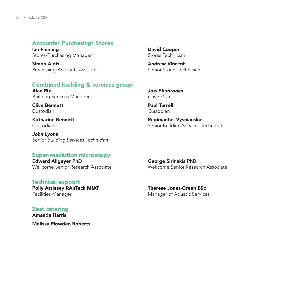#### Accounts/ Purchasing/ Stores

Ian Fleming Stores/Purchasing Manager

Simon Aldis Purchasing/Accounts Assistant

#### Combined building & services group

Alan Rix Building Services Manager

Clive Bennett Custodian

Katharine Bennett Custodian

*John Lyons Senior Building Services Technician*

#### Super-resolution microscopy

Edward Allgeyer PhD Wellcome Senior Research Associate

#### Technical support

Polly Attlesey RAnTech MIAT Facilities Manager

Zest catering Amanda Harris Melissa Plowden Roberts David Cooper Stores Technician

Andrew Vincent Senior Stores Technician

*Joel Shubrooks Custodian*

Paul Turrell Custodian

Regimantas Vysniauskas Senior Building Services Technician

George Sirinakis PhD Wellcome Senior Research Associate

Therese Jones-Green BSc Manager of Aquatic Services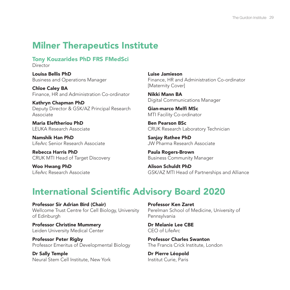# Milner Therapeutics Institute

Tony Kouzarides PhD FRS FMedSci Director

Louisa Bellis PhD Business and Operations Manager

Chloe Caley BA Finance, HR and Administration Co-ordinator

Kathryn Chapman PhD Deputy Director & GSK/AZ Principal Research Associate

Maria Eleftheriou PhD LEUKA Research Associate

Namshik Han PhD LifeArc Senior Research Associate

Rebecca Harris PhD CRUK MTI Head of Target Discovery

Woo Hwang PhD LifeArc Research Associate Luise Jamieson Finance, HR and Administration Co-ordinator [Maternity Cover]

Nikki Mann BA Digital Communications Manager

Gian-marco Melfi MSc MTI Facility Co-ordinator

Ben Pearson BSc CRUK Research Laboratory Technician

Sanjay Rathee PhD JW Pharma Research Associate

Paula Rogers-Brown Business Community Manager

Alison Schuldt PhD GSK/AZ MTI Head of Partnerships and Alliance

# International Scientific Advisory Board 2020

Professor Sir Adrian Bird (Chair) Wellcome Trust Centre for Cell Biology, University of Edinburgh

Professor Christine Mummery Leiden University Medical Center

Professor Peter Rigby Professor Emeritus of Developmental Biology

Dr Sally Temple Neural Stem Cell Institute, New York Professor Ken Zaret Perelman School of Medicine, University of Pennsylvania

Dr Melanie Lee CBE CEO of LifeArc

Professor Charles Swanton The Francis Crick Institute, London

Dr Pierre Léopold Institut Curie, Paris